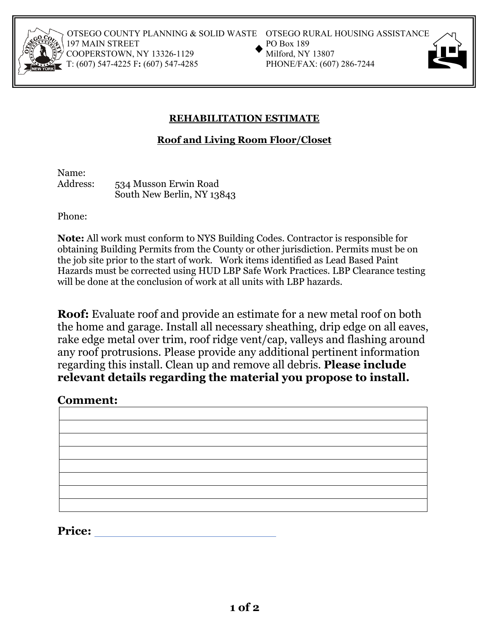

OTSEGO COUNTY PLANNING & SOLID WASTE OTSEGO RURAL HOUSING ASSISTANCE<br>197 MAIN STREET PO Box 189<br>COOPERSTOWN, NY 13326-1129 Milford, NY 13807<br>T: (607) 547-4225 F: (607) 547-4285 PHONE/FAX: (607) 286-7244 197 MAIN STREET COOPERSTOWN, NY 13326-1129 T: (607) 547-4225 F: (607) 547-4285



## **REHABILITATION ESTIMATE**

**Roof and Living Room Floor/Closet** 

Name:

Address: 534 Musson Erwin Road South New Berlin, NY 13843

Phone:

**Note:** All work must conform to NYS Building Codes. Contractor is responsible for obtaining Building Permits from the County or other jurisdiction. Permits must be on the job site prior to the start of work. Work items identified as Lead Based Paint Hazards must be corrected using HUD LBP Safe Work Practices. LBP Clearance testing will be done at the conclusion of work at all units with LBP hazards.

**Roof:** Evaluate roof and provide an estimate for a new metal roof on both the home and garage. Install all necessary sheathing, drip edge on all eaves, rake edge metal over trim, roof ridge vent/cap, valleys and flashing around any roof protrusions. Please provide any additional pertinent information regarding this install. Clean up and remove all debris. **Please include relevant details regarding the material you propose to install.**

## **Comment:**

**Price:**